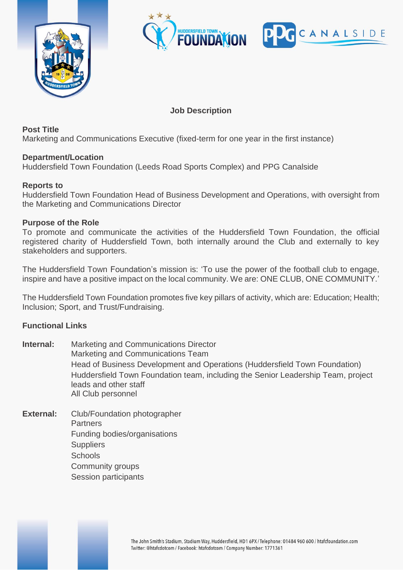



# **Job Description**

**Post Title**

Marketing and Communications Executive (fixed-term for one year in the first instance)

## **Department/Location**

Huddersfield Town Foundation (Leeds Road Sports Complex) and PPG Canalside

## **Reports to**

Huddersfield Town Foundation Head of Business Development and Operations, with oversight from the Marketing and Communications Director

#### **Purpose of the Role**

To promote and communicate the activities of the Huddersfield Town Foundation, the official registered charity of Huddersfield Town, both internally around the Club and externally to key stakeholders and supporters.

The Huddersfield Town Foundation's mission is: 'To use the power of the football club to engage, inspire and have a positive impact on the local community. We are: ONE CLUB, ONE COMMUNITY.'

The Huddersfield Town Foundation promotes five key pillars of activity, which are: Education; Health; Inclusion; Sport, and Trust/Fundraising.

#### **Functional Links**

- **Internal:** Marketing and Communications Director Marketing and Communications Team Head of Business Development and Operations (Huddersfield Town Foundation) Huddersfield Town Foundation team, including the Senior Leadership Team, project leads and other staff All Club personnel
- **External:** Club/Foundation photographer **Partners** Funding bodies/organisations **Suppliers Schools** Community groups Session participants

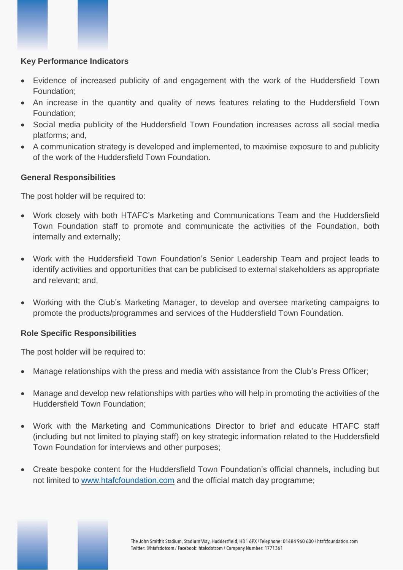## **Key Performance Indicators**

- Evidence of increased publicity of and engagement with the work of the Huddersfield Town Foundation;
- An increase in the quantity and quality of news features relating to the Huddersfield Town Foundation;
- Social media publicity of the Huddersfield Town Foundation increases across all social media platforms; and,
- A communication strategy is developed and implemented, to maximise exposure to and publicity of the work of the Huddersfield Town Foundation.

## **General Responsibilities**

The post holder will be required to:

- Work closely with both HTAFC's Marketing and Communications Team and the Huddersfield Town Foundation staff to promote and communicate the activities of the Foundation, both internally and externally;
- Work with the Huddersfield Town Foundation's Senior Leadership Team and project leads to identify activities and opportunities that can be publicised to external stakeholders as appropriate and relevant; and,
- Working with the Club's Marketing Manager, to develop and oversee marketing campaigns to promote the products/programmes and services of the Huddersfield Town Foundation.

#### **Role Specific Responsibilities**

The post holder will be required to:

- Manage relationships with the press and media with assistance from the Club's Press Officer;
- Manage and develop new relationships with parties who will help in promoting the activities of the Huddersfield Town Foundation;
- Work with the Marketing and Communications Director to brief and educate HTAFC staff (including but not limited to playing staff) on key strategic information related to the Huddersfield Town Foundation for interviews and other purposes;
- Create bespoke content for the Huddersfield Town Foundation's official channels, including but not limited to [www.htafcfoundation.com](http://www.htafcfoundation.com/) and the official match day programme;

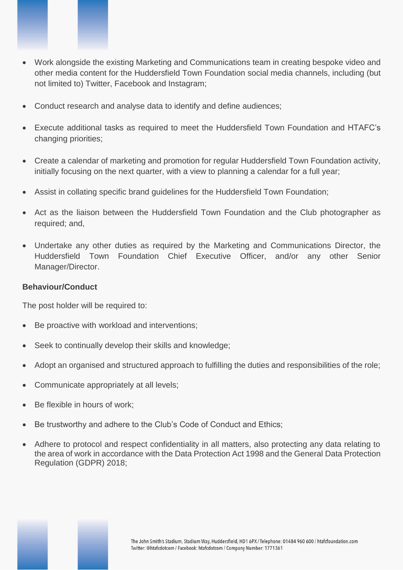

- Work alongside the existing Marketing and Communications team in creating bespoke video and other media content for the Huddersfield Town Foundation social media channels, including (but not limited to) Twitter, Facebook and Instagram;
- Conduct research and analyse data to identify and define audiences;
- Execute additional tasks as required to meet the Huddersfield Town Foundation and HTAFC's changing priorities;
- Create a calendar of marketing and promotion for regular Huddersfield Town Foundation activity, initially focusing on the next quarter, with a view to planning a calendar for a full year;
- Assist in collating specific brand guidelines for the Huddersfield Town Foundation;
- Act as the liaison between the Huddersfield Town Foundation and the Club photographer as required; and,
- Undertake any other duties as required by the Marketing and Communications Director, the Huddersfield Town Foundation Chief Executive Officer, and/or any other Senior Manager/Director.

#### **Behaviour/Conduct**

The post holder will be required to:

- Be proactive with workload and interventions;
- Seek to continually develop their skills and knowledge;
- Adopt an organised and structured approach to fulfilling the duties and responsibilities of the role;
- Communicate appropriately at all levels;
- Be flexible in hours of work:
- Be trustworthy and adhere to the Club's Code of Conduct and Ethics;
- Adhere to protocol and respect confidentiality in all matters, also protecting any data relating to the area of work in accordance with the Data Protection Act 1998 and the General Data Protection Regulation (GDPR) 2018;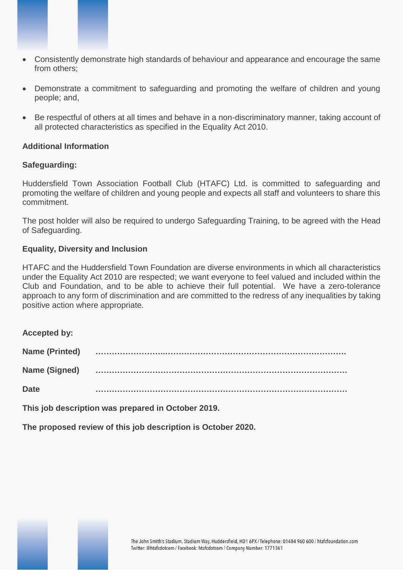- Consistently demonstrate high standards of behaviour and appearance and encourage the same from others;
- Demonstrate a commitment to safeguarding and promoting the welfare of children and young people; and,
- Be respectful of others at all times and behave in a non-discriminatory manner, taking account of all protected characteristics as specified in the Equality Act 2010.

#### **Additional Information**

#### **Safeguarding:**

Huddersfield Town Association Football Club (HTAFC) Ltd. is committed to safeguarding and promoting the welfare of children and young people and expects all staff and volunteers to share this commitment.

The post holder will also be required to undergo Safeguarding Training, to be agreed with the Head of Safeguarding.

#### **Equality, Diversity and Inclusion**

HTAFC and the Huddersfield Town Foundation are diverse environments in which all characteristics under the Equality Act 2010 are respected; we want everyone to feel valued and included within the Club and Foundation, and to be able to achieve their full potential. We have a zero-tolerance approach to any form of discrimination and are committed to the redress of any inequalities by taking positive action where appropriate.

**Accepted by:**

| <b>Name (Printed)</b> |  |
|-----------------------|--|
| <b>Name (Signed)</b>  |  |
| <b>Date</b>           |  |

**This job description was prepared in October 2019.**

**The proposed review of this job description is October 2020.**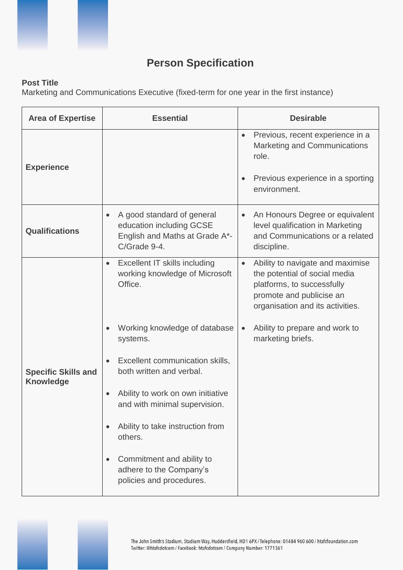

# **Person Specification**

# **Post Title**

Marketing and Communications Executive (fixed-term for one year in the first instance)

| <b>Area of Expertise</b>                       | <b>Essential</b>                                                                                         | <b>Desirable</b>                                                                                                                                                             |  |
|------------------------------------------------|----------------------------------------------------------------------------------------------------------|------------------------------------------------------------------------------------------------------------------------------------------------------------------------------|--|
| <b>Experience</b>                              |                                                                                                          | Previous, recent experience in a<br>$\bullet$<br><b>Marketing and Communications</b><br>role.<br>Previous experience in a sporting<br>$\bullet$<br>environment.              |  |
| <b>Qualifications</b>                          | A good standard of general<br>education including GCSE<br>English and Maths at Grade A*-<br>C/Grade 9-4. | An Honours Degree or equivalent<br>$\bullet$<br>level qualification in Marketing<br>and Communications or a related<br>discipline.                                           |  |
|                                                | <b>Excellent IT skills including</b><br>$\bullet$<br>working knowledge of Microsoft<br>Office.           | Ability to navigate and maximise<br>$\bullet$<br>the potential of social media<br>platforms, to successfully<br>promote and publicise an<br>organisation and its activities. |  |
|                                                | Working knowledge of database<br>systems.                                                                | Ability to prepare and work to<br>$\bullet$<br>marketing briefs.                                                                                                             |  |
| <b>Specific Skills and</b><br><b>Knowledge</b> | Excellent communication skills,<br>both written and verbal.                                              |                                                                                                                                                                              |  |
|                                                | Ability to work on own initiative<br>and with minimal supervision.                                       |                                                                                                                                                                              |  |
|                                                | Ability to take instruction from<br>others.                                                              |                                                                                                                                                                              |  |
|                                                | Commitment and ability to<br>adhere to the Company's<br>policies and procedures.                         |                                                                                                                                                                              |  |